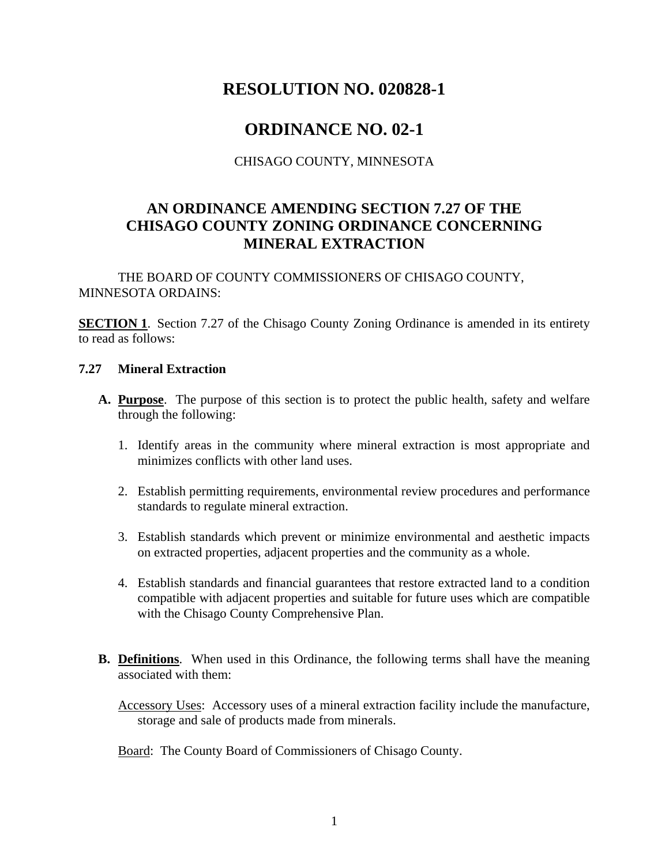# **RESOLUTION NO. 020828-1**

# **ORDINANCE NO. 02-1**

CHISAGO COUNTY, MINNESOTA

### **AN ORDINANCE AMENDING SECTION 7.27 OF THE CHISAGO COUNTY ZONING ORDINANCE CONCERNING MINERAL EXTRACTION**

THE BOARD OF COUNTY COMMISSIONERS OF CHISAGO COUNTY, MINNESOTA ORDAINS:

**SECTION 1**. Section 7.27 of the Chisago County Zoning Ordinance is amended in its entirety to read as follows:

#### **7.27 Mineral Extraction**

- **A. Purpose**. The purpose of this section is to protect the public health, safety and welfare through the following:
	- 1. Identify areas in the community where mineral extraction is most appropriate and minimizes conflicts with other land uses.
	- 2. Establish permitting requirements, environmental review procedures and performance standards to regulate mineral extraction.
	- 3. Establish standards which prevent or minimize environmental and aesthetic impacts on extracted properties, adjacent properties and the community as a whole.
	- 4. Establish standards and financial guarantees that restore extracted land to a condition compatible with adjacent properties and suitable for future uses which are compatible with the Chisago County Comprehensive Plan.
- **B. Definitions**. When used in this Ordinance, the following terms shall have the meaning associated with them:
	- Accessory Uses: Accessory uses of a mineral extraction facility include the manufacture, storage and sale of products made from minerals.

Board: The County Board of Commissioners of Chisago County.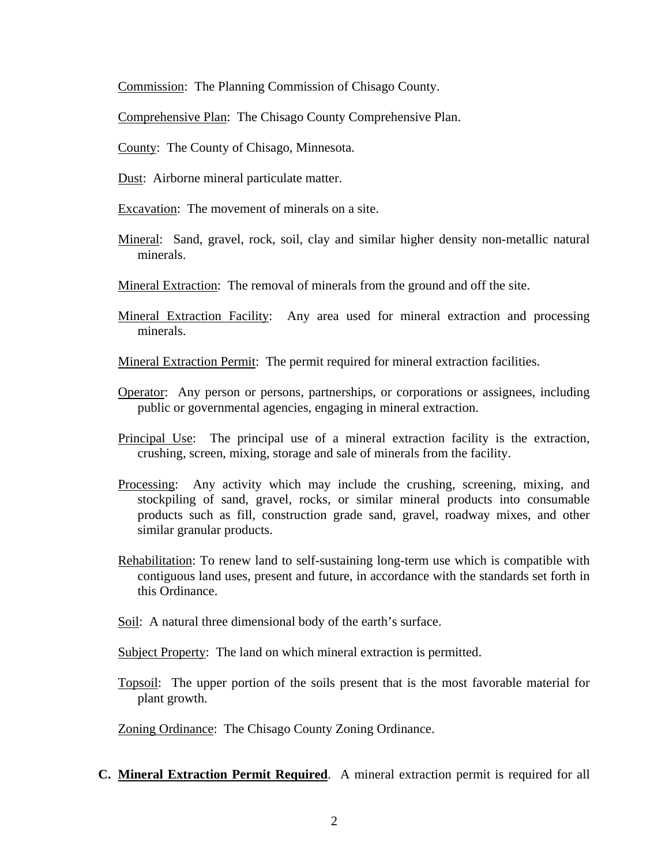Commission: The Planning Commission of Chisago County.

Comprehensive Plan: The Chisago County Comprehensive Plan.

County: The County of Chisago, Minnesota.

- Dust: Airborne mineral particulate matter.
- Excavation: The movement of minerals on a site.
- Mineral: Sand, gravel, rock, soil, clay and similar higher density non-metallic natural minerals.
- Mineral Extraction: The removal of minerals from the ground and off the site.
- Mineral Extraction Facility: Any area used for mineral extraction and processing minerals.

Mineral Extraction Permit: The permit required for mineral extraction facilities.

- Operator: Any person or persons, partnerships, or corporations or assignees, including public or governmental agencies, engaging in mineral extraction.
- Principal Use: The principal use of a mineral extraction facility is the extraction, crushing, screen, mixing, storage and sale of minerals from the facility.
- Processing: Any activity which may include the crushing, screening, mixing, and stockpiling of sand, gravel, rocks, or similar mineral products into consumable products such as fill, construction grade sand, gravel, roadway mixes, and other similar granular products.
- Rehabilitation: To renew land to self-sustaining long-term use which is compatible with contiguous land uses, present and future, in accordance with the standards set forth in this Ordinance.
- Soil: A natural three dimensional body of the earth's surface.
- Subject Property: The land on which mineral extraction is permitted.
- Topsoil: The upper portion of the soils present that is the most favorable material for plant growth.

Zoning Ordinance: The Chisago County Zoning Ordinance.

**C. Mineral Extraction Permit Required**. A mineral extraction permit is required for all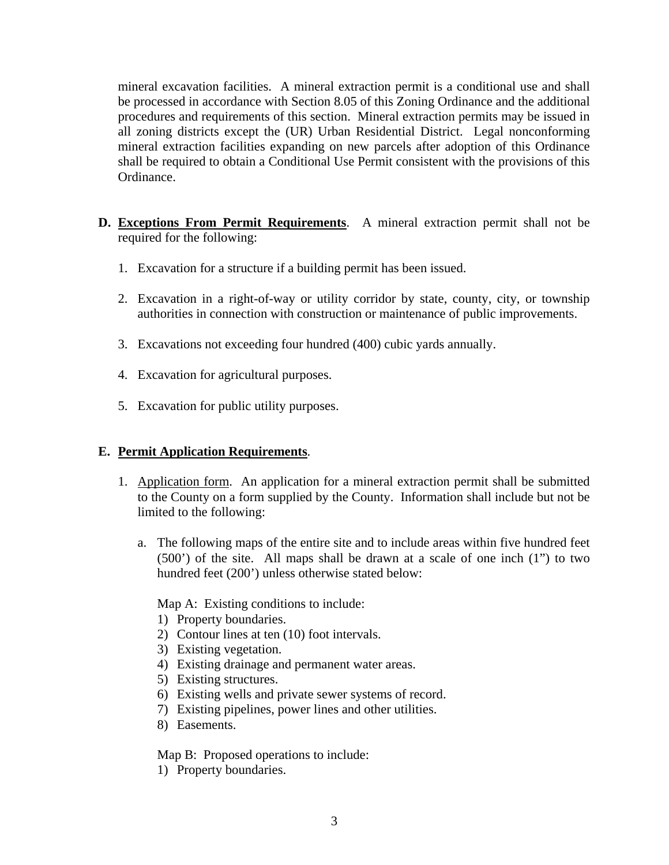mineral excavation facilities. A mineral extraction permit is a conditional use and shall be processed in accordance with Section 8.05 of this Zoning Ordinance and the additional procedures and requirements of this section. Mineral extraction permits may be issued in all zoning districts except the (UR) Urban Residential District. Legal nonconforming mineral extraction facilities expanding on new parcels after adoption of this Ordinance shall be required to obtain a Conditional Use Permit consistent with the provisions of this Ordinance.

- **D. Exceptions From Permit Requirements**. A mineral extraction permit shall not be required for the following:
	- 1. Excavation for a structure if a building permit has been issued.
	- 2. Excavation in a right-of-way or utility corridor by state, county, city, or township authorities in connection with construction or maintenance of public improvements.
	- 3. Excavations not exceeding four hundred (400) cubic yards annually.
	- 4. Excavation for agricultural purposes.
	- 5. Excavation for public utility purposes.

#### **E. Permit Application Requirements**.

- 1. Application form. An application for a mineral extraction permit shall be submitted to the County on a form supplied by the County. Information shall include but not be limited to the following:
	- a. The following maps of the entire site and to include areas within five hundred feet (500') of the site. All maps shall be drawn at a scale of one inch (1") to two hundred feet (200') unless otherwise stated below:

Map A: Existing conditions to include:

- 1) Property boundaries.
- 2) Contour lines at ten (10) foot intervals.
- 3) Existing vegetation.
- 4) Existing drainage and permanent water areas.
- 5) Existing structures.
- 6) Existing wells and private sewer systems of record.
- 7) Existing pipelines, power lines and other utilities.
- 8) Easements.

Map B: Proposed operations to include:

1) Property boundaries.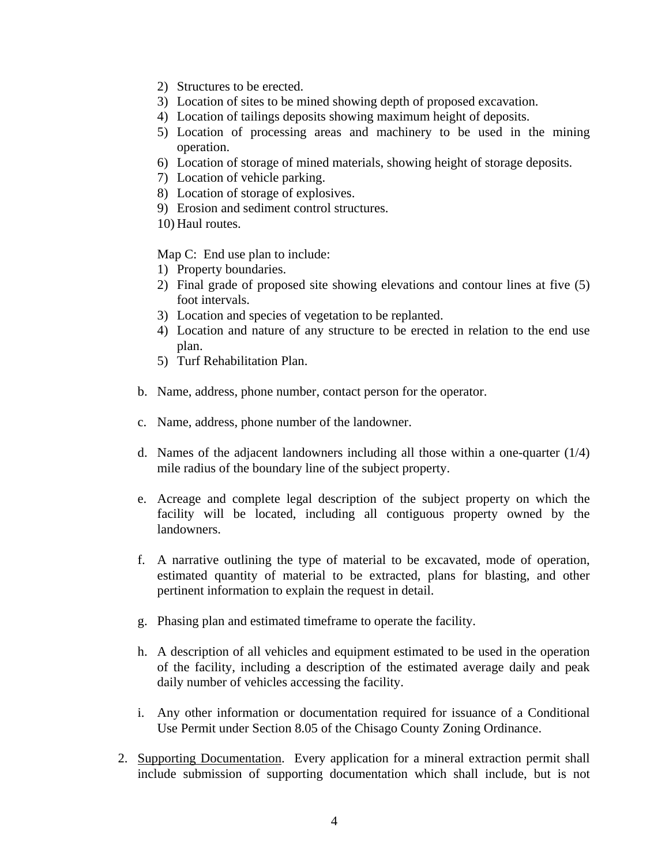- 2) Structures to be erected.
- 3) Location of sites to be mined showing depth of proposed excavation.
- 4) Location of tailings deposits showing maximum height of deposits.
- 5) Location of processing areas and machinery to be used in the mining operation.
- 6) Location of storage of mined materials, showing height of storage deposits.
- 7) Location of vehicle parking.
- 8) Location of storage of explosives.
- 9) Erosion and sediment control structures.
- 10) Haul routes.

Map C: End use plan to include:

- 1) Property boundaries.
- 2) Final grade of proposed site showing elevations and contour lines at five (5) foot intervals.
- 3) Location and species of vegetation to be replanted.
- 4) Location and nature of any structure to be erected in relation to the end use plan.
- 5) Turf Rehabilitation Plan.
- b. Name, address, phone number, contact person for the operator.
- c. Name, address, phone number of the landowner.
- d. Names of the adjacent landowners including all those within a one-quarter  $(1/4)$ mile radius of the boundary line of the subject property.
- e. Acreage and complete legal description of the subject property on which the facility will be located, including all contiguous property owned by the landowners.
- f. A narrative outlining the type of material to be excavated, mode of operation, estimated quantity of material to be extracted, plans for blasting, and other pertinent information to explain the request in detail.
- g. Phasing plan and estimated timeframe to operate the facility.
- h. A description of all vehicles and equipment estimated to be used in the operation of the facility, including a description of the estimated average daily and peak daily number of vehicles accessing the facility.
- i. Any other information or documentation required for issuance of a Conditional Use Permit under Section 8.05 of the Chisago County Zoning Ordinance.
- 2. Supporting Documentation. Every application for a mineral extraction permit shall include submission of supporting documentation which shall include, but is not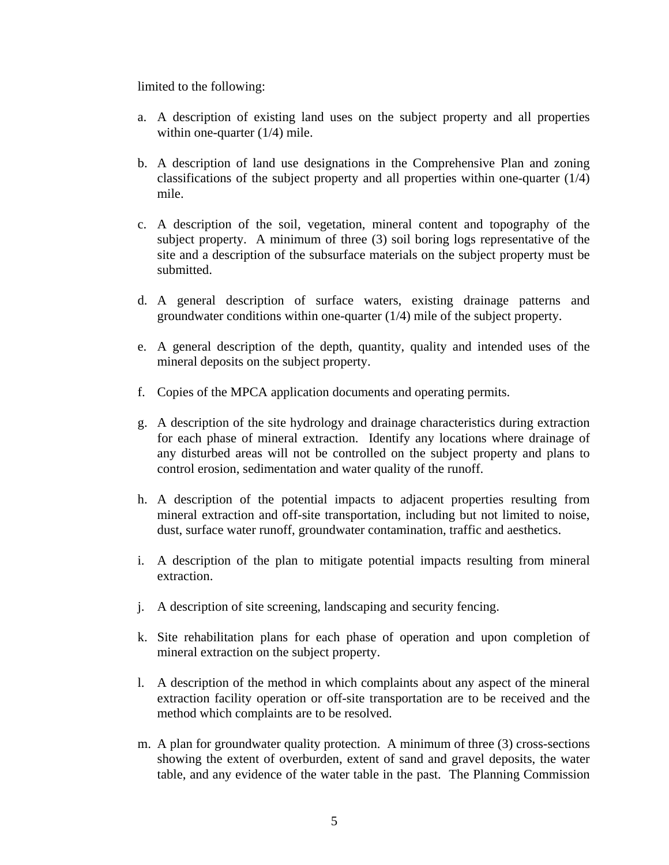limited to the following:

- a. A description of existing land uses on the subject property and all properties within one-quarter (1/4) mile.
- b. A description of land use designations in the Comprehensive Plan and zoning classifications of the subject property and all properties within one-quarter (1/4) mile.
- c. A description of the soil, vegetation, mineral content and topography of the subject property. A minimum of three (3) soil boring logs representative of the site and a description of the subsurface materials on the subject property must be submitted.
- d. A general description of surface waters, existing drainage patterns and groundwater conditions within one-quarter (1/4) mile of the subject property.
- e. A general description of the depth, quantity, quality and intended uses of the mineral deposits on the subject property.
- f. Copies of the MPCA application documents and operating permits.
- g. A description of the site hydrology and drainage characteristics during extraction for each phase of mineral extraction. Identify any locations where drainage of any disturbed areas will not be controlled on the subject property and plans to control erosion, sedimentation and water quality of the runoff.
- h. A description of the potential impacts to adjacent properties resulting from mineral extraction and off-site transportation, including but not limited to noise, dust, surface water runoff, groundwater contamination, traffic and aesthetics.
- i. A description of the plan to mitigate potential impacts resulting from mineral extraction.
- j. A description of site screening, landscaping and security fencing.
- k. Site rehabilitation plans for each phase of operation and upon completion of mineral extraction on the subject property.
- l. A description of the method in which complaints about any aspect of the mineral extraction facility operation or off-site transportation are to be received and the method which complaints are to be resolved.
- m. A plan for groundwater quality protection. A minimum of three (3) cross-sections showing the extent of overburden, extent of sand and gravel deposits, the water table, and any evidence of the water table in the past. The Planning Commission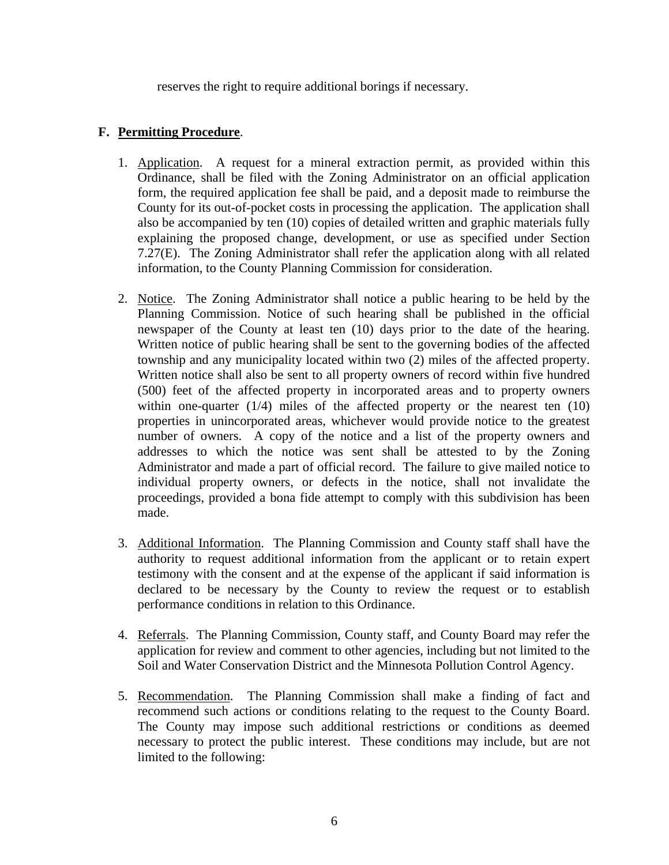reserves the right to require additional borings if necessary.

### **F. Permitting Procedure**.

- 1. Application. A request for a mineral extraction permit, as provided within this Ordinance, shall be filed with the Zoning Administrator on an official application form, the required application fee shall be paid, and a deposit made to reimburse the County for its out-of-pocket costs in processing the application. The application shall also be accompanied by ten (10) copies of detailed written and graphic materials fully explaining the proposed change, development, or use as specified under Section 7.27(E). The Zoning Administrator shall refer the application along with all related information, to the County Planning Commission for consideration.
- 2. Notice. The Zoning Administrator shall notice a public hearing to be held by the Planning Commission. Notice of such hearing shall be published in the official newspaper of the County at least ten (10) days prior to the date of the hearing. Written notice of public hearing shall be sent to the governing bodies of the affected township and any municipality located within two (2) miles of the affected property. Written notice shall also be sent to all property owners of record within five hundred (500) feet of the affected property in incorporated areas and to property owners within one-quarter  $(1/4)$  miles of the affected property or the nearest ten  $(10)$ properties in unincorporated areas, whichever would provide notice to the greatest number of owners. A copy of the notice and a list of the property owners and addresses to which the notice was sent shall be attested to by the Zoning Administrator and made a part of official record. The failure to give mailed notice to individual property owners, or defects in the notice, shall not invalidate the proceedings, provided a bona fide attempt to comply with this subdivision has been made.
- 3. Additional Information. The Planning Commission and County staff shall have the authority to request additional information from the applicant or to retain expert testimony with the consent and at the expense of the applicant if said information is declared to be necessary by the County to review the request or to establish performance conditions in relation to this Ordinance.
- 4. Referrals. The Planning Commission, County staff, and County Board may refer the application for review and comment to other agencies, including but not limited to the Soil and Water Conservation District and the Minnesota Pollution Control Agency.
- 5. Recommendation. The Planning Commission shall make a finding of fact and recommend such actions or conditions relating to the request to the County Board. The County may impose such additional restrictions or conditions as deemed necessary to protect the public interest. These conditions may include, but are not limited to the following: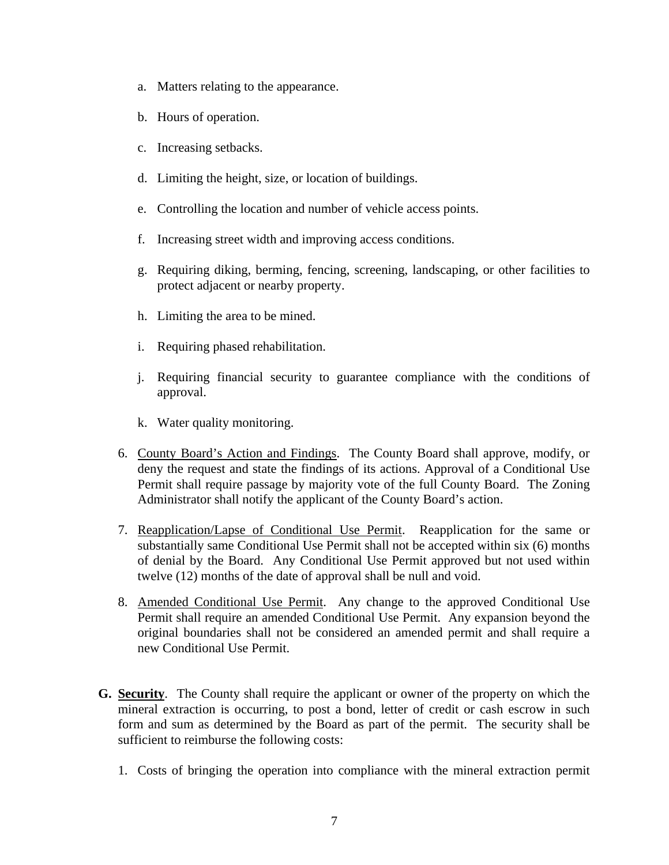- a. Matters relating to the appearance.
- b. Hours of operation.
- c. Increasing setbacks.
- d. Limiting the height, size, or location of buildings.
- e. Controlling the location and number of vehicle access points.
- f. Increasing street width and improving access conditions.
- g. Requiring diking, berming, fencing, screening, landscaping, or other facilities to protect adjacent or nearby property.
- h. Limiting the area to be mined.
- i. Requiring phased rehabilitation.
- j. Requiring financial security to guarantee compliance with the conditions of approval.
- k. Water quality monitoring.
- 6. County Board's Action and Findings. The County Board shall approve, modify, or deny the request and state the findings of its actions. Approval of a Conditional Use Permit shall require passage by majority vote of the full County Board. The Zoning Administrator shall notify the applicant of the County Board's action.
- 7. Reapplication/Lapse of Conditional Use Permit. Reapplication for the same or substantially same Conditional Use Permit shall not be accepted within six (6) months of denial by the Board. Any Conditional Use Permit approved but not used within twelve (12) months of the date of approval shall be null and void.
- 8. Amended Conditional Use Permit. Any change to the approved Conditional Use Permit shall require an amended Conditional Use Permit. Any expansion beyond the original boundaries shall not be considered an amended permit and shall require a new Conditional Use Permit.
- **G. Security**. The County shall require the applicant or owner of the property on which the mineral extraction is occurring, to post a bond, letter of credit or cash escrow in such form and sum as determined by the Board as part of the permit. The security shall be sufficient to reimburse the following costs:
	- 1. Costs of bringing the operation into compliance with the mineral extraction permit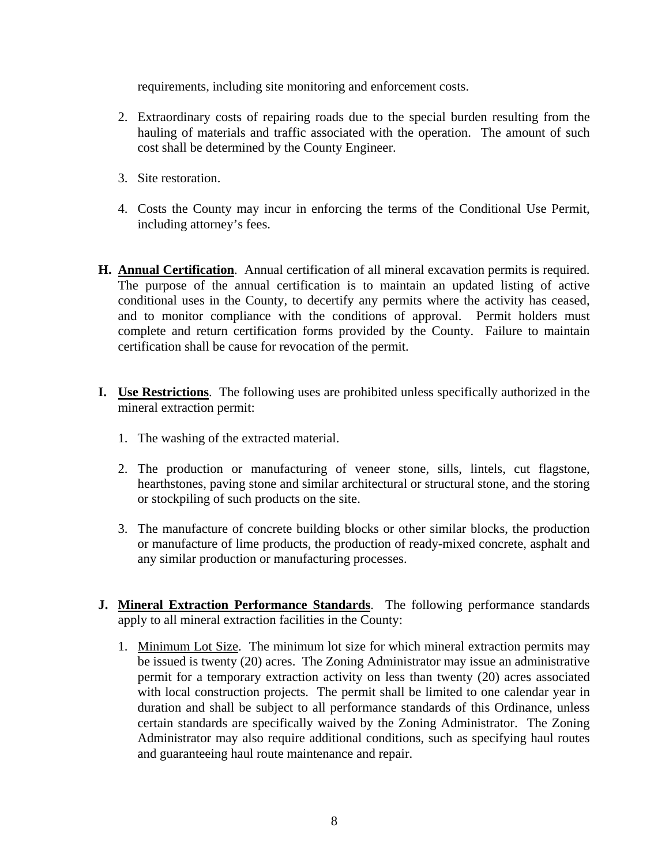requirements, including site monitoring and enforcement costs.

- 2. Extraordinary costs of repairing roads due to the special burden resulting from the hauling of materials and traffic associated with the operation. The amount of such cost shall be determined by the County Engineer.
- 3. Site restoration.
- 4. Costs the County may incur in enforcing the terms of the Conditional Use Permit, including attorney's fees.
- **H. Annual Certification**. Annual certification of all mineral excavation permits is required. The purpose of the annual certification is to maintain an updated listing of active conditional uses in the County, to decertify any permits where the activity has ceased, and to monitor compliance with the conditions of approval. Permit holders must complete and return certification forms provided by the County. Failure to maintain certification shall be cause for revocation of the permit.
- **I. Use Restrictions**. The following uses are prohibited unless specifically authorized in the mineral extraction permit:
	- 1. The washing of the extracted material.
	- 2. The production or manufacturing of veneer stone, sills, lintels, cut flagstone, hearthstones, paving stone and similar architectural or structural stone, and the storing or stockpiling of such products on the site.
	- 3. The manufacture of concrete building blocks or other similar blocks, the production or manufacture of lime products, the production of ready-mixed concrete, asphalt and any similar production or manufacturing processes.
- **J. Mineral Extraction Performance Standards**. The following performance standards apply to all mineral extraction facilities in the County:
	- 1. Minimum Lot Size. The minimum lot size for which mineral extraction permits may be issued is twenty (20) acres. The Zoning Administrator may issue an administrative permit for a temporary extraction activity on less than twenty (20) acres associated with local construction projects. The permit shall be limited to one calendar year in duration and shall be subject to all performance standards of this Ordinance, unless certain standards are specifically waived by the Zoning Administrator. The Zoning Administrator may also require additional conditions, such as specifying haul routes and guaranteeing haul route maintenance and repair.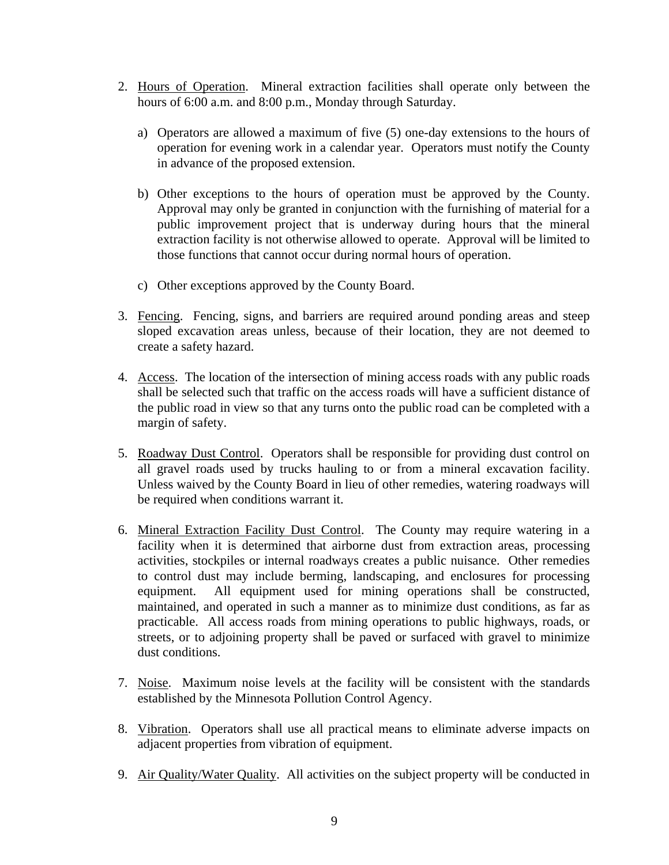- 2. Hours of Operation. Mineral extraction facilities shall operate only between the hours of 6:00 a.m. and 8:00 p.m., Monday through Saturday.
	- a) Operators are allowed a maximum of five (5) one-day extensions to the hours of operation for evening work in a calendar year. Operators must notify the County in advance of the proposed extension.
	- b) Other exceptions to the hours of operation must be approved by the County. Approval may only be granted in conjunction with the furnishing of material for a public improvement project that is underway during hours that the mineral extraction facility is not otherwise allowed to operate. Approval will be limited to those functions that cannot occur during normal hours of operation.
	- c) Other exceptions approved by the County Board.
- 3. Fencing. Fencing, signs, and barriers are required around ponding areas and steep sloped excavation areas unless, because of their location, they are not deemed to create a safety hazard.
- 4. Access. The location of the intersection of mining access roads with any public roads shall be selected such that traffic on the access roads will have a sufficient distance of the public road in view so that any turns onto the public road can be completed with a margin of safety.
- 5. Roadway Dust Control. Operators shall be responsible for providing dust control on all gravel roads used by trucks hauling to or from a mineral excavation facility. Unless waived by the County Board in lieu of other remedies, watering roadways will be required when conditions warrant it.
- 6. Mineral Extraction Facility Dust Control. The County may require watering in a facility when it is determined that airborne dust from extraction areas, processing activities, stockpiles or internal roadways creates a public nuisance. Other remedies to control dust may include berming, landscaping, and enclosures for processing equipment. All equipment used for mining operations shall be constructed, maintained, and operated in such a manner as to minimize dust conditions, as far as practicable. All access roads from mining operations to public highways, roads, or streets, or to adjoining property shall be paved or surfaced with gravel to minimize dust conditions.
- 7. Noise. Maximum noise levels at the facility will be consistent with the standards established by the Minnesota Pollution Control Agency.
- 8. Vibration. Operators shall use all practical means to eliminate adverse impacts on adjacent properties from vibration of equipment.
- 9. Air Quality/Water Quality. All activities on the subject property will be conducted in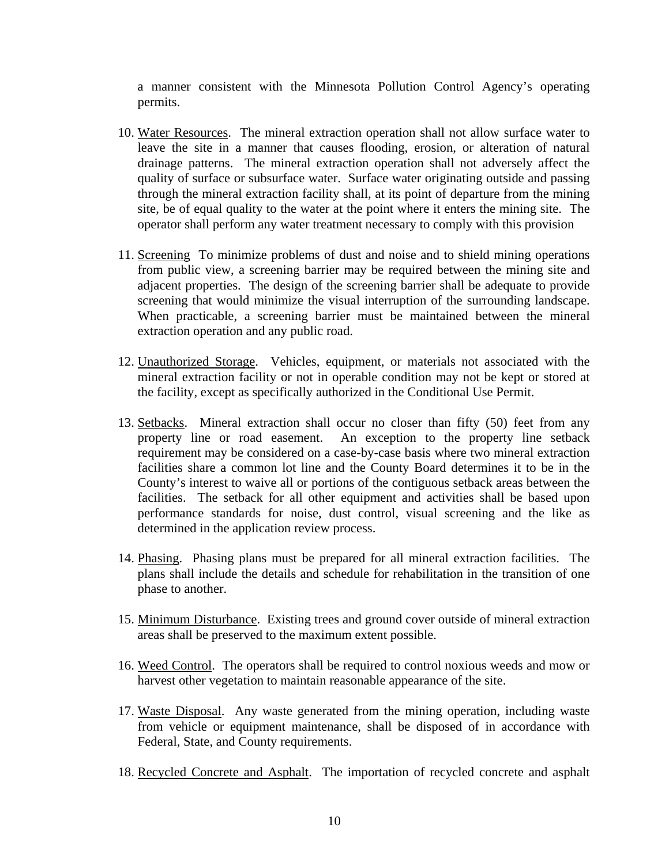a manner consistent with the Minnesota Pollution Control Agency's operating permits.

- 10. Water Resources. The mineral extraction operation shall not allow surface water to leave the site in a manner that causes flooding, erosion, or alteration of natural drainage patterns. The mineral extraction operation shall not adversely affect the quality of surface or subsurface water. Surface water originating outside and passing through the mineral extraction facility shall, at its point of departure from the mining site, be of equal quality to the water at the point where it enters the mining site. The operator shall perform any water treatment necessary to comply with this provision
- 11. Screening To minimize problems of dust and noise and to shield mining operations from public view, a screening barrier may be required between the mining site and adjacent properties. The design of the screening barrier shall be adequate to provide screening that would minimize the visual interruption of the surrounding landscape. When practicable, a screening barrier must be maintained between the mineral extraction operation and any public road.
- 12. Unauthorized Storage. Vehicles, equipment, or materials not associated with the mineral extraction facility or not in operable condition may not be kept or stored at the facility, except as specifically authorized in the Conditional Use Permit.
- 13. Setbacks. Mineral extraction shall occur no closer than fifty (50) feet from any property line or road easement. An exception to the property line setback requirement may be considered on a case-by-case basis where two mineral extraction facilities share a common lot line and the County Board determines it to be in the County's interest to waive all or portions of the contiguous setback areas between the facilities. The setback for all other equipment and activities shall be based upon performance standards for noise, dust control, visual screening and the like as determined in the application review process.
- 14. Phasing. Phasing plans must be prepared for all mineral extraction facilities. The plans shall include the details and schedule for rehabilitation in the transition of one phase to another.
- 15. Minimum Disturbance. Existing trees and ground cover outside of mineral extraction areas shall be preserved to the maximum extent possible.
- 16. Weed Control. The operators shall be required to control noxious weeds and mow or harvest other vegetation to maintain reasonable appearance of the site.
- 17. Waste Disposal. Any waste generated from the mining operation, including waste from vehicle or equipment maintenance, shall be disposed of in accordance with Federal, State, and County requirements.
- 18. Recycled Concrete and Asphalt. The importation of recycled concrete and asphalt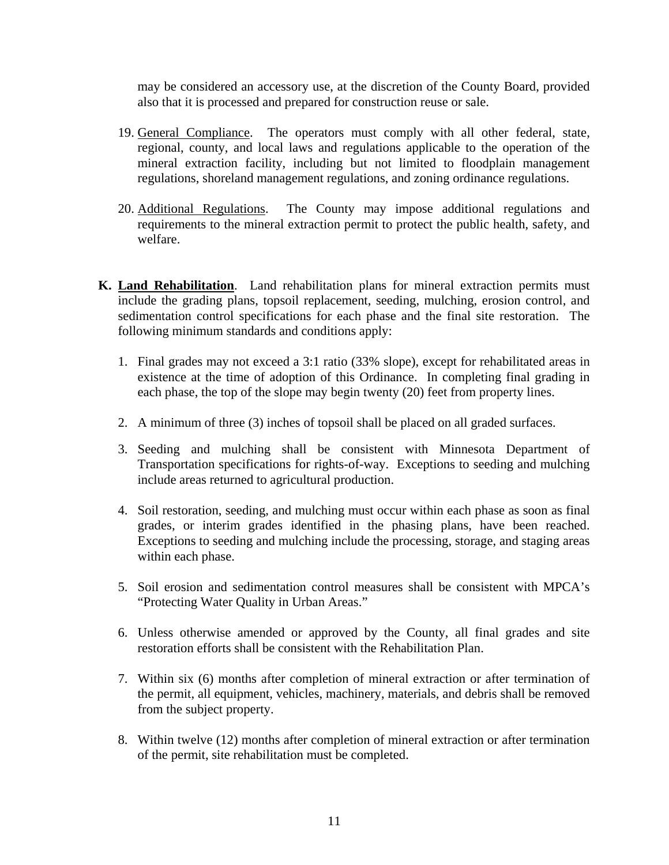may be considered an accessory use, at the discretion of the County Board, provided also that it is processed and prepared for construction reuse or sale.

- 19. General Compliance. The operators must comply with all other federal, state, regional, county, and local laws and regulations applicable to the operation of the mineral extraction facility, including but not limited to floodplain management regulations, shoreland management regulations, and zoning ordinance regulations.
- 20. Additional Regulations. The County may impose additional regulations and requirements to the mineral extraction permit to protect the public health, safety, and welfare.
- **K. Land Rehabilitation**. Land rehabilitation plans for mineral extraction permits must include the grading plans, topsoil replacement, seeding, mulching, erosion control, and sedimentation control specifications for each phase and the final site restoration. The following minimum standards and conditions apply:
	- 1. Final grades may not exceed a 3:1 ratio (33% slope), except for rehabilitated areas in existence at the time of adoption of this Ordinance. In completing final grading in each phase, the top of the slope may begin twenty (20) feet from property lines.
	- 2. A minimum of three (3) inches of topsoil shall be placed on all graded surfaces.
	- 3. Seeding and mulching shall be consistent with Minnesota Department of Transportation specifications for rights-of-way. Exceptions to seeding and mulching include areas returned to agricultural production.
	- 4. Soil restoration, seeding, and mulching must occur within each phase as soon as final grades, or interim grades identified in the phasing plans, have been reached. Exceptions to seeding and mulching include the processing, storage, and staging areas within each phase.
	- 5. Soil erosion and sedimentation control measures shall be consistent with MPCA's "Protecting Water Quality in Urban Areas."
	- 6. Unless otherwise amended or approved by the County, all final grades and site restoration efforts shall be consistent with the Rehabilitation Plan.
	- 7. Within six (6) months after completion of mineral extraction or after termination of the permit, all equipment, vehicles, machinery, materials, and debris shall be removed from the subject property.
	- 8. Within twelve (12) months after completion of mineral extraction or after termination of the permit, site rehabilitation must be completed.